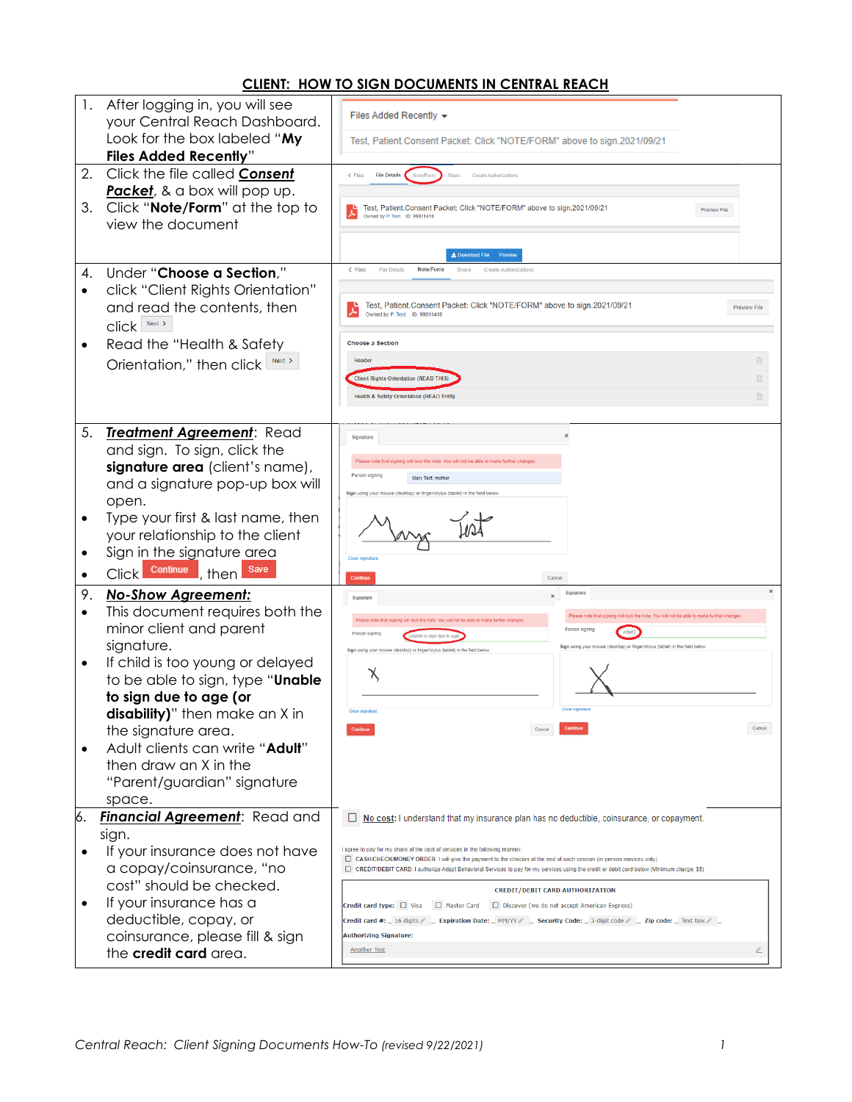## **CLIENT: HOW TO SIGN DOCUMENTS IN CENTRAL REACH**

| 1.        | After logging in, you will see                               | Files Added Recently $\blacktriangleright$                                                                                                                                                               |
|-----------|--------------------------------------------------------------|----------------------------------------------------------------------------------------------------------------------------------------------------------------------------------------------------------|
|           | your Central Reach Dashboard.                                |                                                                                                                                                                                                          |
|           | Look for the box labeled "My<br><b>Files Added Recently"</b> | Test, Patient.Consent Packet: Click "NOTE/FORM" above to sign.2021/09/21                                                                                                                                 |
| 2.        | Click the file called Consent                                | <b>File Details</b><br>$\epsilon$ Files<br>Share<br>Create Authorizatio                                                                                                                                  |
|           | Packet, & a box will pop up.                                 | Note/Form                                                                                                                                                                                                |
| 3.        | Click "Note/Form" at the top to                              | Test, Patient.Consent Packet: Click "NOTE/FORM" above to sign.2021/09/21<br><b>Preview File</b>                                                                                                          |
|           | view the document                                            | Owned by P. Test ID: 99011418                                                                                                                                                                            |
|           |                                                              |                                                                                                                                                                                                          |
|           |                                                              | L Download File                                                                                                                                                                                          |
| 4.        | Under "Choose a Section,"                                    | < Files<br><b>File Details</b><br>Note/Form<br>Share<br><b>Create Authorizations</b>                                                                                                                     |
| $\bullet$ | click "Client Rights Orientation"                            |                                                                                                                                                                                                          |
|           | and read the contents, then                                  | Test, Patient.Consent Packet: Click "NOTE/FORM" above to sign.2021/09/21<br><b>Preview File</b><br>Owned by P. Test ID: 99011418                                                                         |
|           | Click Next >                                                 |                                                                                                                                                                                                          |
| ٠         | Read the "Health & Safety                                    | <b>Choose a Section</b>                                                                                                                                                                                  |
|           | Orientation," then click<br>Next >                           | Header<br>Û                                                                                                                                                                                              |
|           |                                                              | <b>Client Rights Orientation (READ THIS)</b><br>面                                                                                                                                                        |
|           |                                                              | <b>Health &amp; Safety Orientation (READ THIS)</b><br>面                                                                                                                                                  |
|           |                                                              |                                                                                                                                                                                                          |
| 5.        | Treatment Agreement: Read                                    | $\mathbf{x}$<br>Signature                                                                                                                                                                                |
|           | and sign. To sign, click the                                 | Please note that signing will lock the note. You will not be able to make further changes                                                                                                                |
|           | signature area (client's name),                              | Person signing<br>Mary Test, mother                                                                                                                                                                      |
|           | and a signature pop-up box will                              | Sign using your mouse (desktop) or finger/stylus (tablet) in the field below                                                                                                                             |
|           | open.<br>Type your first & last name, then                   |                                                                                                                                                                                                          |
| ٠         | your relationship to the client                              |                                                                                                                                                                                                          |
| ٠         | Sign in the signature area                                   |                                                                                                                                                                                                          |
|           | Save<br>Continue<br><b>Click</b>                             | Clear signature                                                                                                                                                                                          |
| $\bullet$ | then                                                         | Continue<br>Cancel<br>$\boldsymbol{\times}$                                                                                                                                                              |
| 9.        | <b>No-Show Agreement:</b>                                    | Signature<br>$\boldsymbol{\times}$<br>Signature                                                                                                                                                          |
| $\bullet$ | This document requires both the<br>minor client and parent   | Please note that signing will lock the note. You will not be able to make further changes<br>Please note that signing will lock the note. You will not be able to make further changes<br>Person signing |
|           | signature.                                                   | Adult<br>Person signing<br>Unable to sign due to age<br>Sign using your mouse (desktop) or finger/stylus (tablet) in the field below                                                                     |
| $\bullet$ | If child is too young or delayed                             | Sign using your mouse (desktop) or finger/stylus (tablet) in the field below                                                                                                                             |
|           | to be able to sign, type " <b>Unable</b>                     | Х                                                                                                                                                                                                        |
|           | to sign due to age (or                                       |                                                                                                                                                                                                          |
|           | disability)" then make an X in                               | Clear signature<br>Claar sinnature                                                                                                                                                                       |
|           | the signature area.                                          | Cancel                                                                                                                                                                                                   |
|           | Adult clients can write "Adult"                              |                                                                                                                                                                                                          |
|           | then draw an X in the                                        |                                                                                                                                                                                                          |
|           | "Parent/guardian" signature                                  |                                                                                                                                                                                                          |
|           | space.                                                       |                                                                                                                                                                                                          |
| 6.        | <b>Financial Agreement:</b> Read and                         | □<br>No cost: I understand that my insurance plan has no deductible, coinsurance, or copayment.                                                                                                          |
|           | sign.                                                        |                                                                                                                                                                                                          |
|           | If your insurance does not have                              | aqree to pay for my share of the cost of services in the following manner:<br>CASH/CHECK/MONEY ORDER: I will give the payment to the clinician at the end of each session (in-person services only)      |
|           | a copay/coinsurance, "no                                     | CREDIT/DEBIT CARD: I authorize Adapt Behavioral Services to pay for my services using the credit or debit card below (Minimum charge: \$5)                                                               |
|           | cost" should be checked.                                     | <b>CREDIT/DEBIT CARD AUTHORIZATION</b>                                                                                                                                                                   |
|           | If your insurance has a                                      | Master Card<br>Credit card type: □ Visa<br>Discover (we do not accept American Express)                                                                                                                  |
|           | deductible, copay, or                                        | Credit card #: _ 16 digits $\ell$ _ Expiration Date: _ MM/YY $\ell$ _ Security Code: _ 3-digit code $\ell$ _ Zip code: _ Text box $\ell$ _<br><b>Authorizing Signature:</b>                              |
|           | coinsurance, please fill & sign<br>the credit card area.     | <b>Another Test</b>                                                                                                                                                                                      |
|           |                                                              |                                                                                                                                                                                                          |